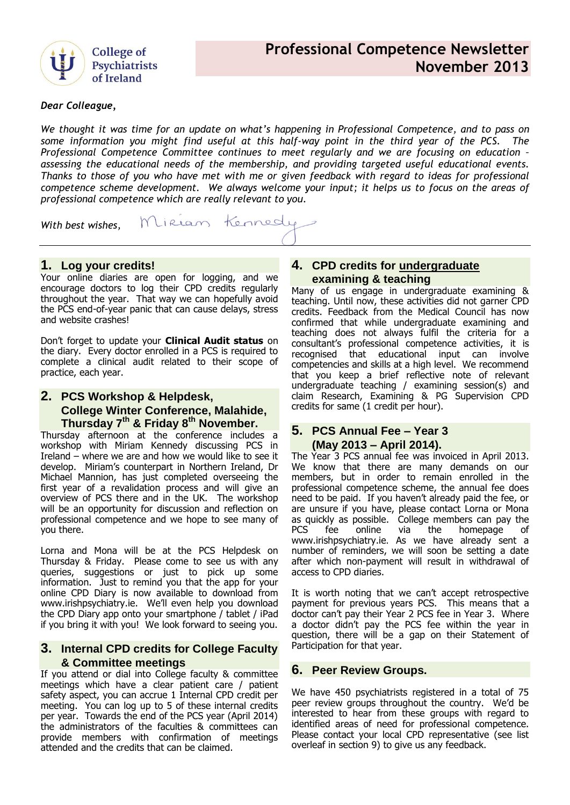

#### *Dear Colleague,*

*We thought it was time for an update on what's happening in Professional Competence, and to pass on some information you might find useful at this half-way point in the third year of the PCS. The Professional Competence Committee continues to meet regularly and we are focusing on education – assessing the educational needs of the membership, and providing targeted useful educational events. Thanks to those of you who have met with me or given feedback with regard to ideas for professional competence scheme development. We always welcome your input; it helps us to focus on the areas of professional competence which are really relevant to you.*

Miriam Kennedy *With best wishes,*

### **1. Log your credits!**

Your online diaries are open for logging, and we encourage doctors to log their CPD credits regularly throughout the year. That way we can hopefully avoid the PCS end-of-year panic that can cause delays, stress and website crashes!

Don't forget to update your **Clinical Audit status** on the diary. Every doctor enrolled in a PCS is required to complete a clinical audit related to their scope of practice, each year.

## **2. [PCS Workshop & Helpdesk,](http://collegeofpsychiatryireland.newsweaver.co.uk/newsletter/1bcdch2t8xl13d8mgyqtf4?a=1&p=33459695&t=18724804) [College Winter Conference, Malahide,](http://collegeofpsychiatryireland.newsweaver.co.uk/newsletter/1bcdch2t8xl13d8mgyqtf4?a=1&p=33459695&t=18724804) Thursday 7th & Friday 8th November.**

Thursday afternoon at the conference includes a workshop with Miriam Kennedy discussing PCS in Ireland – where we are and how we would like to see it develop. Miriam's counterpart in Northern Ireland, Dr Michael Mannion, has just completed overseeing the first year of a revalidation process and will give an overview of PCS there and in the UK. The workshop will be an opportunity for discussion and reflection on professional competence and we hope to see many of you there.

Lorna and Mona will be at the PCS Helpdesk on Thursday & Friday. Please come to see us with any queries, suggestions or just to pick up some information. Just to remind you that the app for your online CPD Diary is now available to download from www.irishpsychiatry.ie. We'll even help you download the CPD Diary app onto your smartphone / tablet / iPad if you bring it with you! We look forward to seeing you.

#### **3. [Internal](http://collegeofpsychiatryireland.newsweaver.co.uk/newsletter/3c8ktq4idsf13d8mgyqtf4?a=1&p=33459695&t=18724804) CPD credits for College Faculty & Committee meetings**

If you attend or dial into College faculty & committee meetings which have a clear patient care / patient safety aspect, you can accrue 1 Internal CPD credit per meeting. You can log up to 5 of these internal credits per year. Towards the end of the PCS year (April 2014) the administrators of the faculties & committees can provide members with confirmation of meetings attended and the credits that can be claimed.

## **[4.](http://collegeofpsychiatryireland.newsweaver.co.uk/newsletter/3c8ktq4idsf13d8mgyqtf4?a=1&p=33459695&t=18724804) CPD credits for undergraduate examining & teaching**

Many of us engage in undergraduate examining & teaching. Until now, these activities did not garner CPD credits. Feedback from the Medical Council has now confirmed that while undergraduate examining and teaching does not always fulfil the criteria for a consultant's professional competence activities, it is recognised that educational input can involve competencies and skills at a high level. We recommend that you keep a brief reflective note of relevant undergraduate teaching / examining session(s) and claim Research, Examining & PG Supervision CPD credits for same (1 credit per hour).

## **5. [PCS Annual Fee –](http://collegeofpsychiatryireland.newsweaver.co.uk/newsletter/42z9hzcxh7t13d8mgyqtf4?a=1&p=33459695&t=18724804) Year 3 [\(May 2013 –](http://collegeofpsychiatryireland.newsweaver.co.uk/newsletter/42z9hzcxh7t13d8mgyqtf4?a=1&p=33459695&t=18724804) April 2014).**

The Year 3 PCS annual fee was invoiced in April 2013. We know that there are many demands on our members, but in order to remain enrolled in the professional competence scheme, the annual fee does need to be paid. If you haven't already paid the fee, or are unsure if you have, please contact Lorna or Mona as quickly as possible. College members can pay the PCS fee online via the homepage of [www.irishpsychiatry.ie](http://www.irishpsychiatry.ie/). As we have already sent a number of reminders, we will soon be setting a date after which non-payment will result in withdrawal of access to CPD diaries.

It is worth noting that we can't accept retrospective payment for previous years PCS. This means that a doctor can't pay their Year 2 PCS fee in Year 3. Where a doctor didn't pay the PCS fee within the year in question, there will be a gap on their Statement of Participation for that year.

## **6. [Peer](http://collegeofpsychiatryireland.newsweaver.co.uk/newsletter/1bcdch2t8xl13d8mgyqtf4?a=1&p=33459695&t=18724804) Review Groups.**

We have 450 psychiatrists registered in a total of 75 peer review groups throughout the country. We'd be interested to hear from these groups with regard to identified areas of need for professional competence. Please contact your local CPD representative (see list overleaf in section 9) to give us any feedback.